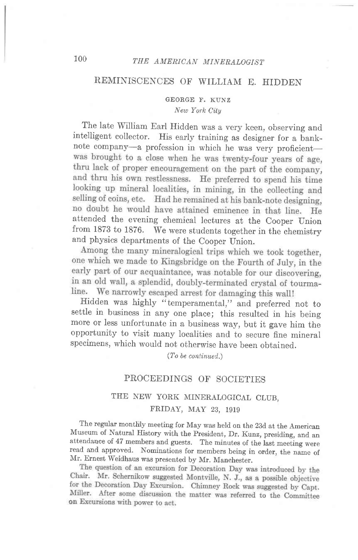# 100 THE AMERICAN MINERALOGIST

### REMINISCENCES OF WILLIAM E. HIDDEN

#### GEORGE F. KUNZ New York City

The late William Earl Hidden was a very keen, observing and intelligent collector. His early training as designer for a banknote company--a profession in which he was very proficient-was brought to a close when he was twenty-four years of age, thru lack of proper encouragement on the part of the company, and thru his own restlessness. He preferred to spend his time looking up mineral localities, in mining, in the collecting and selling of coins, etc. Had he remained at his bank-note designing, no doubt he would have attained eminence in that line. He attended the evening chemical lectures at the Cooper Union from 1873 to 1876. We were students together in the chemistry and physics departments of the Cooper Union.<br>Among the many mineralogical trips which we took together,

one which we made to Kingsbridge on the Fourth of July, in the early part of our acquaintance, was notable for our discovering, in an old wall, a splendid, doubly-terminated crystal of tourmaline. We narrowly escaped arrest for damaging this wall!

Hidden was highly "temperamental," and preferred not to settle in business in any one place; this resulted in his being more or less unfortunate in a business way, but it gave him the opportunity to visit many localities and to secure fine mineral specimens, which would not otherwise have been obtained.

(To be continued.)

### PROCEEDINGS OF SOCIETIES

## THE NEW YORK MINERALOGICAL CLUB, FRIDAY, MAY 23, 1919

The regular monthly meeting for May was held on the 23d at the American Museum of Natural History with the president, Dr. Kunz, presiding, and an attendance of 47 members and guests. The minutes of the last meeting were read and approved. Nominations for members being in order, the name of Mr. Ernest Weidhaus was presented by Mr. Manchester.

Chair. Mr. Schernikow suggested Montville, N. J., as a possible objective for the Decoration Day Excursion. Chinney Rock was suggested by Capt. Miller. After some discussion the matter was referred to the Committee on Excursions with power to act.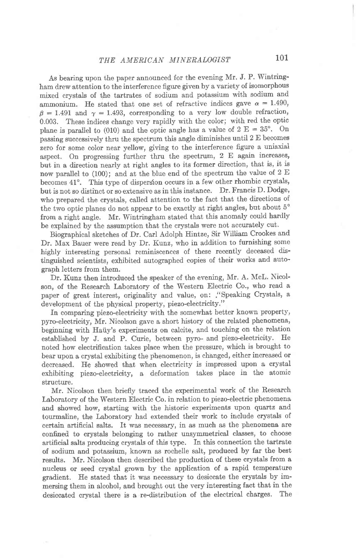As bearing upon the paper announced for the evening Mr. J. P. Wintringham drew attention to the interference figure given by a variety of isomorphous mixed crystals of the tartrates of sodium and potassium with sodium and ammonium. He stated that one set of refractive indices gave  $\alpha = 1.490$ ,  $\beta = 1.491$  and  $\gamma = 1.493$ , corresponding to a very low double refraction, 0.003. These indices change very rapidly with the color; with red the optic plane is parallel to (010) and the optic angle has a value of  $2 E = 35^{\circ}$ . On passing successively thru the spectrum this angle diminishes until 2 E becomes zero for some color near yellow, giving to the interference figure a uniaxial aspect. On progressing further thru the spectrum,  $2 \text{ E}$  again increases, but in a direction nearly at right angles to its former direction, that is, it is now parallel to (100); and at the blue end of the spectrum the value of 2 E becomes 41°. This type of dispersion occurs in a few other rhombic crystals, but is not so distihct or so extensive as in this instance. Dr. Francis D. Dodge, who prepared the crystals, called attention to the fact that the directions of the two optic planes do not appear to be exactly at right angles, but about 5° from a right angle. Mr. Wintringham stated that this anomaly could hardly be explained by the assumption that the crystals were not accurately cut.

Biographical sketches of Dr. Carl Adolph Hintze, Sir William Crookes and Dr. Max Bauer were read by Dr. Kunz, who in addition to furnishing some highly interesting personal reminiscences of these recently deceased distinguished scientists, exhibited autographed copies of their works and autograph letters from them.

Dr. Kunz then introduced the speaker of the evening, Mr. A. McL. Nicolson, of the Research Laboratory of the Western Electric Co., who read a paper of great interest, originality and value, on: ."Speaking Crystals, a development of the physical property, piezo-electricity."

In comparing piezo-electricity with the somewhat better known property, pyro-electricity, Mr. Nicolson gave a short history of the related phenomena, beginning with Haiiy's experiments on calcite, and touching on the relation established by J. and P. Curie, between pyro- and piezo-electricity. He noted how electrification takes place when the pressure, which is brought to bear upon a crystal exhibiting the phenomenon, is changed, either increased or decreased. IIe showed that when electricity is impressed upon a crystal exhibiting piezo-electricity, a deformation takes place in the atomic structure.

Mr. Nicolson then briefly traced the experimental work of the Research Laboratory of the Western Electric Co. in relation to piezo-electric phenomena and showed how, starting with the historic experiments upon quartz and tourmaline, the Laboratory had extended their work to include crystals of certain artificial salts. It was necessary, in as much as the phenomena are confinecl to crystals belonging to rather unsymmetrical classes, to choose artificial salts producing crystals of this type. In this connection the tartrate of sodium and potassium, known as rochelle salt, produced by far the best results. Mr. Nicolson then described the production of these crystals from a nucleus or seed crys'tal grown by the application of a rapid temperature gradient. He stated that it was necessary to desiccate the crystals by immersing them in alcohol, and brought out the very interesting fact that in the desiccated crystal there is a re-distribution of the electrical charges. The